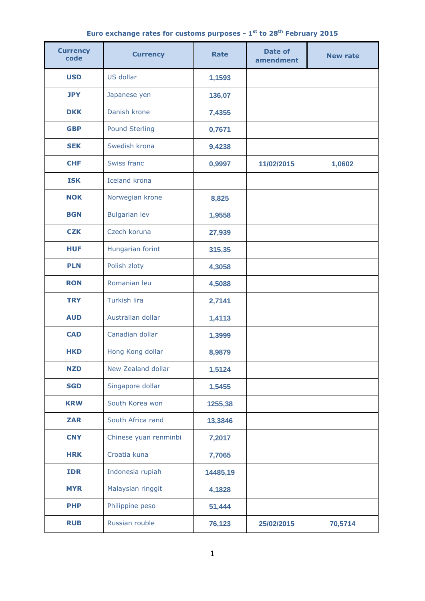## **Euro exchange rates for customs purposes - 1 st to 28th February 2015**

| <b>Currency</b><br>code | <b>Currency</b>       | <b>Rate</b> | Date of<br>amendment | <b>New rate</b> |
|-------------------------|-----------------------|-------------|----------------------|-----------------|
| <b>USD</b>              | US dollar             | 1,1593      |                      |                 |
| <b>JPY</b>              | Japanese yen          | 136,07      |                      |                 |
| <b>DKK</b>              | Danish krone          | 7,4355      |                      |                 |
| <b>GBP</b>              | <b>Pound Sterling</b> | 0,7671      |                      |                 |
| <b>SEK</b>              | Swedish krona         | 9,4238      |                      |                 |
| <b>CHF</b>              | Swiss franc           | 0,9997      | 11/02/2015           | 1,0602          |
| <b>ISK</b>              | <b>Iceland krona</b>  |             |                      |                 |
| <b>NOK</b>              | Norwegian krone       | 8,825       |                      |                 |
| <b>BGN</b>              | <b>Bulgarian lev</b>  | 1,9558      |                      |                 |
| <b>CZK</b>              | Czech koruna          | 27,939      |                      |                 |
| <b>HUF</b>              | Hungarian forint      | 315,35      |                      |                 |
| <b>PLN</b>              | Polish zloty          | 4,3058      |                      |                 |
| <b>RON</b>              | Romanian leu          | 4,5088      |                      |                 |
| <b>TRY</b>              | Turkish lira          | 2,7141      |                      |                 |
| <b>AUD</b>              | Australian dollar     | 1,4113      |                      |                 |
| <b>CAD</b>              | Canadian dollar       | 1,3999      |                      |                 |
| <b>HKD</b>              | Hong Kong dollar      | 8,9879      |                      |                 |
| <b>NZD</b>              | New Zealand dollar    | 1,5124      |                      |                 |
| <b>SGD</b>              | Singapore dollar      | 1,5455      |                      |                 |
| <b>KRW</b>              | South Korea won       | 1255,38     |                      |                 |
| <b>ZAR</b>              | South Africa rand     | 13,3846     |                      |                 |
| <b>CNY</b>              | Chinese yuan renminbi | 7,2017      |                      |                 |
| <b>HRK</b>              | Croatia kuna          | 7,7065      |                      |                 |
| <b>IDR</b>              | Indonesia rupiah      | 14485,19    |                      |                 |
| <b>MYR</b>              | Malaysian ringgit     | 4,1828      |                      |                 |
| <b>PHP</b>              | Philippine peso       | 51,444      |                      |                 |
| <b>RUB</b>              | Russian rouble        | 76,123      | 25/02/2015           | 70,5714         |